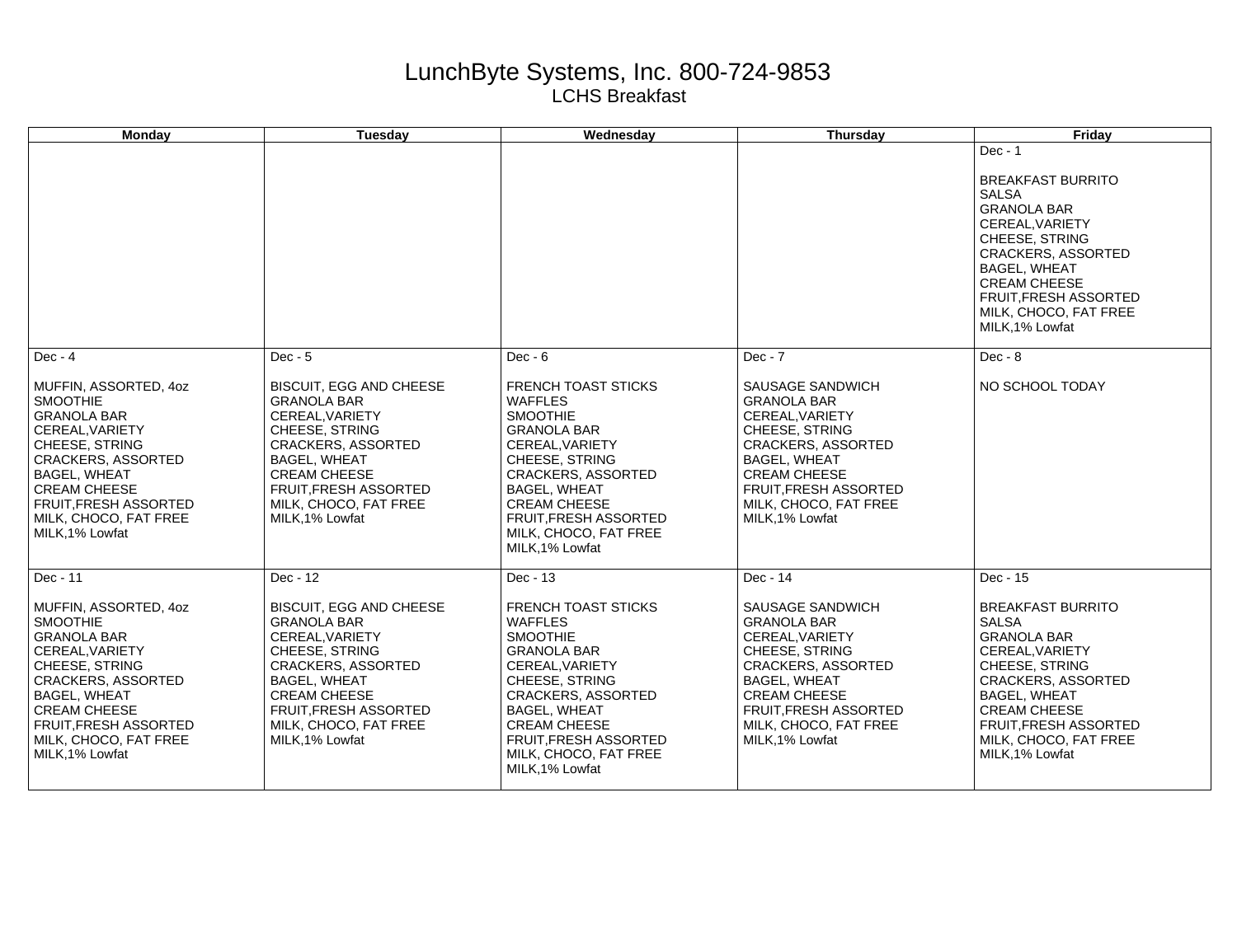## LunchByte Systems, Inc. 800-724-9853 LCHS Breakfast

| <b>Monday</b>                                                                                                                                                                                                                                                                 | Tuesday                                                                                                                                                                                                                                                     | Wednesday                                                                                                                                                                                                                                                                                            | Thursday                                                                                                                                                                                                                                     | Friday                                                                                                                                                                                                                                                                 |
|-------------------------------------------------------------------------------------------------------------------------------------------------------------------------------------------------------------------------------------------------------------------------------|-------------------------------------------------------------------------------------------------------------------------------------------------------------------------------------------------------------------------------------------------------------|------------------------------------------------------------------------------------------------------------------------------------------------------------------------------------------------------------------------------------------------------------------------------------------------------|----------------------------------------------------------------------------------------------------------------------------------------------------------------------------------------------------------------------------------------------|------------------------------------------------------------------------------------------------------------------------------------------------------------------------------------------------------------------------------------------------------------------------|
|                                                                                                                                                                                                                                                                               |                                                                                                                                                                                                                                                             |                                                                                                                                                                                                                                                                                                      |                                                                                                                                                                                                                                              | $Dec - 1$<br><b>BREAKFAST BURRITO</b><br><b>SALSA</b><br><b>GRANOLA BAR</b><br>CEREAL, VARIETY<br>CHEESE, STRING<br><b>CRACKERS, ASSORTED</b><br><b>BAGEL, WHEAT</b><br><b>CREAM CHEESE</b><br><b>FRUIT.FRESH ASSORTED</b><br>MILK, CHOCO, FAT FREE<br>MILK, 1% Lowfat |
| $Dec - 4$<br>MUFFIN, ASSORTED, 4oz<br><b>SMOOTHIE</b><br><b>GRANOLA BAR</b><br>CEREAL.VARIETY<br><b>CHEESE, STRING</b><br><b>CRACKERS, ASSORTED</b><br><b>BAGEL, WHEAT</b><br><b>CREAM CHEESE</b><br><b>FRUIT, FRESH ASSORTED</b><br>MILK, CHOCO, FAT FREE<br>MILK, 1% Lowfat | $Dec - 5$<br><b>BISCUIT, EGG AND CHEESE</b><br><b>GRANOLA BAR</b><br>CEREAL, VARIETY<br>CHEESE, STRING<br>CRACKERS, ASSORTED<br>BAGEL, WHEAT<br><b>CREAM CHEESE</b><br><b>FRUIT, FRESH ASSORTED</b><br>MILK, CHOCO, FAT FREE<br>MILK, 1% Lowfat             | $Dec - 6$<br><b>FRENCH TOAST STICKS</b><br><b>WAFFLES</b><br><b>SMOOTHIE</b><br><b>GRANOLA BAR</b><br>CEREAL, VARIETY<br>CHEESE, STRING<br><b>CRACKERS, ASSORTED</b><br><b>BAGEL, WHEAT</b><br><b>CREAM CHEESE</b><br>FRUIT, FRESH ASSORTED<br>MILK, CHOCO, FAT FREE<br>MILK, 1% Lowfat              | $Dec - 7$<br>SAUSAGE SANDWICH<br><b>GRANOLA BAR</b><br>CEREAL, VARIETY<br>CHEESE, STRING<br>CRACKERS, ASSORTED<br><b>BAGEL, WHEAT</b><br><b>CREAM CHEESE</b><br><b>FRUIT, FRESH ASSORTED</b><br>MILK, CHOCO, FAT FREE<br>MILK, 1% Lowfat     | $Dec - 8$<br>NO SCHOOL TODAY                                                                                                                                                                                                                                           |
| Dec - 11<br>MUFFIN, ASSORTED, 4oz<br><b>SMOOTHIE</b><br><b>GRANOLA BAR</b><br>CEREAL, VARIETY<br><b>CHEESE, STRING</b><br><b>CRACKERS, ASSORTED</b><br><b>BAGEL, WHEAT</b><br><b>CREAM CHEESE</b><br>FRUIT, FRESH ASSORTED<br>MILK, CHOCO, FAT FREE<br>MILK, 1% Lowfat        | Dec - 12<br><b>BISCUIT, EGG AND CHEESE</b><br><b>GRANOLA BAR</b><br>CEREAL, VARIETY<br>CHEESE, STRING<br><b>CRACKERS, ASSORTED</b><br><b>BAGEL, WHEAT</b><br><b>CREAM CHEESE</b><br><b>FRUIT.FRESH ASSORTED</b><br>MILK, CHOCO, FAT FREE<br>MILK, 1% Lowfat | Dec - 13<br><b>FRENCH TOAST STICKS</b><br><b>WAFFLES</b><br><b>SMOOTHIE</b><br><b>GRANOLA BAR</b><br>CEREAL, VARIETY<br><b>CHEESE, STRING</b><br><b>CRACKERS, ASSORTED</b><br><b>BAGEL, WHEAT</b><br><b>CREAM CHEESE</b><br><b>FRUIT, FRESH ASSORTED</b><br>MILK, CHOCO, FAT FREE<br>MILK, 1% Lowfat | Dec - 14<br>SAUSAGE SANDWICH<br><b>GRANOLA BAR</b><br>CEREAL.VARIETY<br>CHEESE, STRING<br><b>CRACKERS, ASSORTED</b><br><b>BAGEL, WHEAT</b><br><b>CREAM CHEESE</b><br><b>FRUIT.FRESH ASSORTED</b><br>MILK, CHOCO, FAT FREE<br>MILK, 1% Lowfat | Dec - 15<br><b>BREAKFAST BURRITO</b><br><b>SALSA</b><br><b>GRANOLA BAR</b><br>CEREAL, VARIETY<br>CHEESE, STRING<br><b>CRACKERS, ASSORTED</b><br><b>BAGEL, WHEAT</b><br><b>CREAM CHEESE</b><br><b>FRUIT.FRESH ASSORTED</b><br>MILK, CHOCO, FAT FREE<br>MILK, 1% Lowfat  |